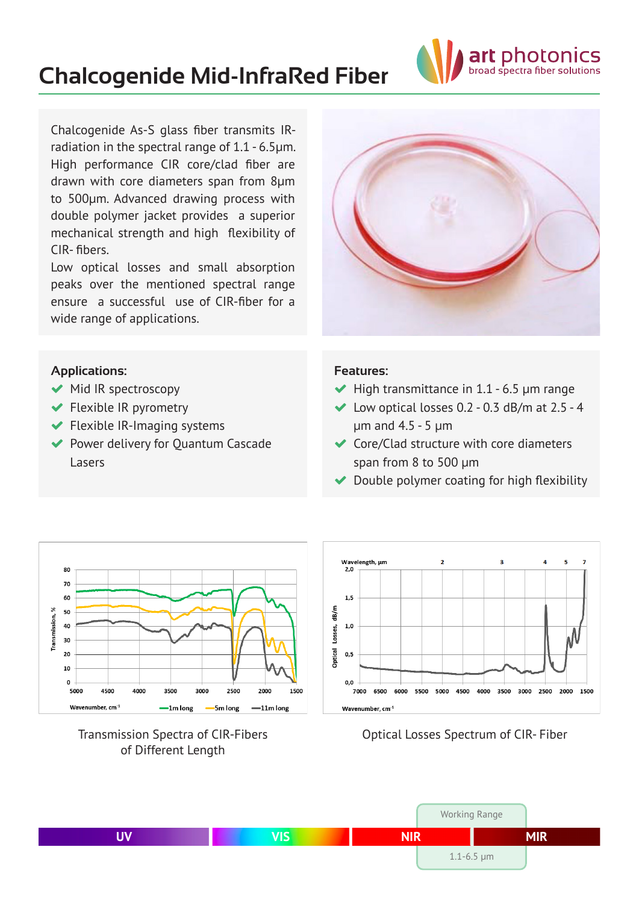# **Chalcogenide Mid-InfraRed Fiber**



Chalcogenide As-S glass fiber transmits IRradiation in the spectral range of 1.1 - 6.5μm. High performance CIR core/clad fiber are drawn with core diameters span from 8µm to 500µm. Advanced drawing process with double polymer jacket provides a superior mechanical strength and high flexibility of CIR- fibers.

Low optical losses and small absorption peaks over the mentioned spectral range ensure a successful use of CIR-fiber for a wide range of applications.



#### **Applications:**

- $\blacktriangleright$  Mid IR spectroscopy
- Flexible IR pyrometry
- $\blacktriangleright$  Flexible IR-Imaging systems
- ◆ Power delivery for Quantum Cascade Lasers

#### **Features:**

- $\blacktriangleright$  High transmittance in 1.1 6.5 µm range
- $\blacktriangleright$  Low optical losses 0.2 0.3 dB/m at 2.5 4 µm and 4.5 - 5 µm
- $\triangleleft$  Core/Clad structure with core diameters span from 8 to 500 µm
- ◆ Double polymer coating for high flexibility







Optical Losses Spectrum of CIR- Fiber

|    |     |            | <b>Working Range</b>         |            |
|----|-----|------------|------------------------------|------------|
| UV | VIS | <b>NIR</b> |                              | <b>MIR</b> |
|    |     |            | $1.1 - 6.5 \,\mathrm{\mu m}$ |            |